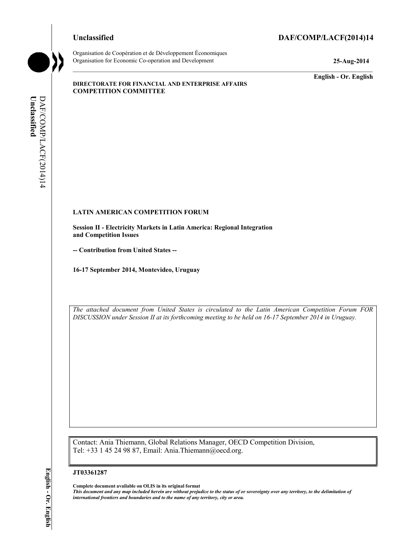### **Unclassified DAF/COMP/LACF(2014)14**



**Unclassified** 

Unclassified

DAF/COMP/LACF(2014)14

DAF/COMP/LACF(2014)14

Organisation de Coopération et de Développement Économiques Organisation for Economic Co-operation and Development **25-Aug-2014** 

**English - Or. English** 

#### **DIRECTORATE FOR FINANCIAL AND ENTERPRISE AFFAIRS COMPETITION COMMITTEE**

# **LATIN AMERICAN COMPETITION FORUM**

**Session II - Electricity Markets in Latin America: Regional Integration and Competition Issues** 

**-- Contribution from United States --**

**16-17 September 2014, Montevideo, Uruguay** 

 *DISCUSSION under Session II at its forthcoming meeting to be held on 16-17 September 2014 in Uruguay. The attached document from United States is circulated to the Latin American Competition Forum FOR* 

Contact: Ania Thiemann, Global Relations Manager, OECD Competition Division, Tel: +33 1 45 24 98 87, Email: Ania.Thiemann@oecd.org.

#### **JT03361287**

 **Complete document available on OLIS in its original format**   *This document and any map included herein are without prejudice to the status of or sovereignty over any territory, to the delimitation of international frontiers and boundaries and to the name of any territory, city or area.*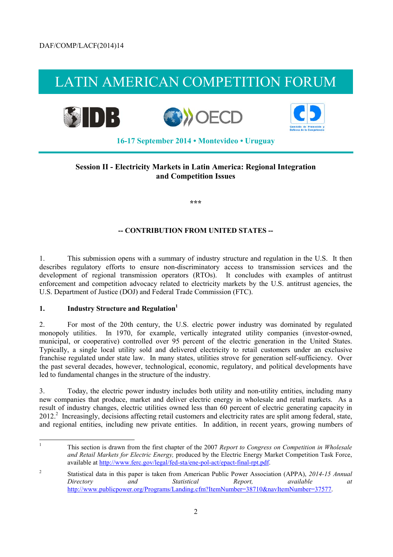# LATIN AMERICAN COMPETITION FORUM



### **Session II - Electricity Markets in Latin America: Regional Integration and Competition Issues**

**\*\*\*** 

#### **-- CONTRIBUTION FROM UNITED STATES --**

1. This submission opens with a summary of industry structure and regulation in the U.S. It then describes regulatory efforts to ensure non-discriminatory access to transmission services and the development of regional transmission operators (RTOs). It concludes with examples of antitrust enforcement and competition advocacy related to electricity markets by the U.S. antitrust agencies, the U.S. Department of Justice (DOJ) and Federal Trade Commission (FTC).

#### **1. Industry Structure and Regulation1**

municipal, or cooperative) controlled over 95 percent of the electric generation in the United States. the past several decades, however, technological, economic, regulatory, and political developments have 2. For most of the 20th century, the U.S. electric power industry was dominated by regulated monopoly utilities. In 1970, for example, vertically integrated utility companies (investor-owned, Typically, a single local utility sold and delivered electricity to retail customers under an exclusive franchise regulated under state law. In many states, utilities strove for generation self-sufficiency. Over led to fundamental changes in the structure of the industry.

 new companies that produce, market and deliver electric energy in wholesale and retail markets. As a 3. Today, the electric power industry includes both utility and non-utility entities, including many result of industry changes, electric utilities owned less than 60 percent of electric generating capacity in 2012.<sup>2</sup> Increasingly, decisions affecting retail customers and electricity rates are split among federal, state, and regional entities, including new private entities. In addition, in recent years, growing numbers of

l

This section is drawn from the first chapter of the 2007 *Report to Congress on Competition in Wholesale and Retail Markets for Electric Energy,* produced by the Electric Energy Market Competition Task Force, available at http://www.ferc.gov/legal/fed-sta/ene-pol-act/epact-final-rpt.pdf.

<sup>2</sup> Statistical data in this paper is taken from American Public Power Association (APPA), *2014-15 Annual Directory and Statistical Report, available at*  http://www.publicpower.org/Programs/Landing.cfm?ItemNumber=38710&navItemNumber=37577.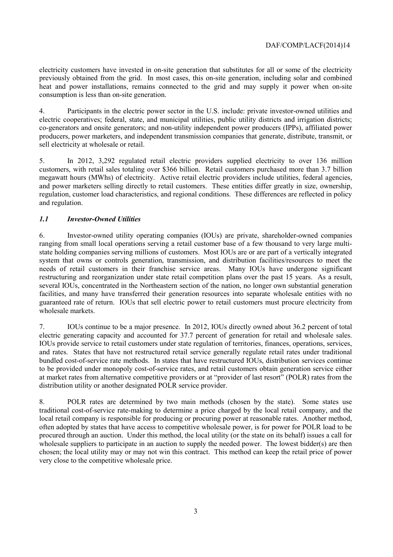electricity customers have invested in on-site generation that substitutes for all or some of the electricity previously obtained from the grid. In most cases, this on-site generation, including solar and combined heat and power installations, remains connected to the grid and may supply it power when on-site consumption is less than on-site generation.

 4. Participants in the electric power sector in the U.S. include: private investor-owned utilities and electric cooperatives; federal, state, and municipal utilities, public utility districts and irrigation districts; co-generators and onsite generators; and non-utility independent power producers (IPPs), affiliated power producers, power marketers, and independent transmission companies that generate, distribute, transmit, or sell electricity at wholesale or retail.

5. In 2012, 3,292 regulated retail electric providers supplied electricity to over 136 million customers, with retail sales totaling over \$366 billion. Retail customers purchased more than 3.7 billion megawatt hours (MWhs) of electricity. Active retail electric providers include utilities, federal agencies, and power marketers selling directly to retail customers. These entities differ greatly in size, ownership, regulation, customer load characteristics, and regional conditions. These differences are reflected in policy and regulation.

#### *1.1 Investor-Owned Utilities*

 needs of retail customers in their franchise service areas. Many IOUs have undergone significant guaranteed rate of return. IOUs that sell electric power to retail customers must procure electricity from 6. Investor-owned utility operating companies (IOUs) are private, shareholder-owned companies ranging from small local operations serving a retail customer base of a few thousand to very large multistate holding companies serving millions of customers. Most IOUs are or are part of a vertically integrated system that owns or controls generation, transmission, and distribution facilities/resources to meet the restructuring and reorganization under state retail competition plans over the past 15 years. As a result, several IOUs, concentrated in the Northeastern section of the nation, no longer own substantial generation facilities, and many have transferred their generation resources into separate wholesale entities with no wholesale markets.

electric generating capacity and accounted for 37.7 percent of generation for retail and wholesale sales. 7. IOUs continue to be a major presence. In 2012, IOUs directly owned about 36.2 percent of total IOUs provide service to retail customers under state regulation of territories, finances, operations, services, and rates. States that have not restructured retail service generally regulate retail rates under traditional bundled cost-of-service rate methods. In states that have restructured IOUs, distribution services continue to be provided under monopoly cost-of-service rates, and retail customers obtain generation service either at market rates from alternative competitive providers or at "provider of last resort" (POLR) rates from the distribution utility or another designated POLR service provider.

wholesale suppliers to participate in an auction to supply the needed power. The lowest bidder(s) are then chosen; the local utility may or may not win this contract. This method can keep the retail price of power 8. POLR rates are determined by two main methods (chosen by the state). Some states use traditional cost-of-service rate-making to determine a price charged by the local retail company, and the local retail company is responsible for producing or procuring power at reasonable rates. Another method, often adopted by states that have access to competitive wholesale power, is for power for POLR load to be procured through an auction. Under this method, the local utility (or the state on its behalf) issues a call for very close to the competitive wholesale price.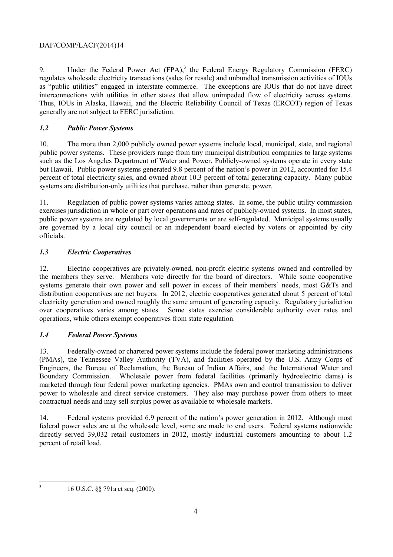#### DAF/COMP/LACF(2014)14

 regulates wholesale electricity transactions (sales for resale) and unbundled transmission activities of IOUs 9. Under the Federal Power Act  $(FPA)$ ,<sup>3</sup> the Federal Energy Regulatory Commission (FERC) as "public utilities" engaged in interstate commerce. The exceptions are IOUs that do not have direct interconnections with utilities in other states that allow unimpeded flow of electricity across systems. Thus, IOUs in Alaska, Hawaii, and the Electric Reliability Council of Texas (ERCOT) region of Texas generally are not subject to FERC jurisdiction.

#### *1.2 Public Power Systems*

10. The more than 2,000 publicly owned power systems include local, municipal, state, and regional public power systems. These providers range from tiny municipal distribution companies to large systems such as the Los Angeles Department of Water and Power. Publicly-owned systems operate in every state but Hawaii. Public power systems generated 9.8 percent of the nation's power in 2012, accounted for 15.4 percent of total electricity sales, and owned about 10.3 percent of total generating capacity. Many public systems are distribution-only utilities that purchase, rather than generate, power.

 exercises jurisdiction in whole or part over operations and rates of publicly-owned systems. In most states, 11. Regulation of public power systems varies among states. In some, the public utility commission public power systems are regulated by local governments or are self-regulated. Municipal systems usually are governed by a local city council or an independent board elected by voters or appointed by city officials.

#### *1.3 Electric Cooperatives*

 systems generate their own power and sell power in excess of their members' needs, most G&Ts and 12. Electric cooperatives are privately-owned, non-profit electric systems owned and controlled by the members they serve. Members vote directly for the board of directors. While some cooperative distribution cooperatives are net buyers. In 2012, electric cooperatives generated about 5 percent of total electricity generation and owned roughly the same amount of generating capacity. Regulatory jurisdiction over cooperatives varies among states. Some states exercise considerable authority over rates and operations, while others exempt cooperatives from state regulation.

## *1.4 Federal Power Systems*

 (PMAs), the Tennessee Valley Authority (TVA), and facilities operated by the U.S. Army Corps of marketed through four federal power marketing agencies. PMAs own and control transmission to deliver 13. Federally-owned or chartered power systems include the federal power marketing administrations Engineers, the Bureau of Reclamation, the Bureau of Indian Affairs, and the International Water and Boundary Commission. Wholesale power from federal facilities (primarily hydroelectric dams) is power to wholesale and direct service customers. They also may purchase power from others to meet contractual needs and may sell surplus power as available to wholesale markets.

14. Federal systems provided 6.9 percent of the nation's power generation in 2012. Although most federal power sales are at the wholesale level, some are made to end users. Federal systems nationwide directly served 39,032 retail customers in 2012, mostly industrial customers amounting to about 1.2 percent of retail load.

 3

<sup>16</sup> U.S.C. §§ 791a et seq. (2000).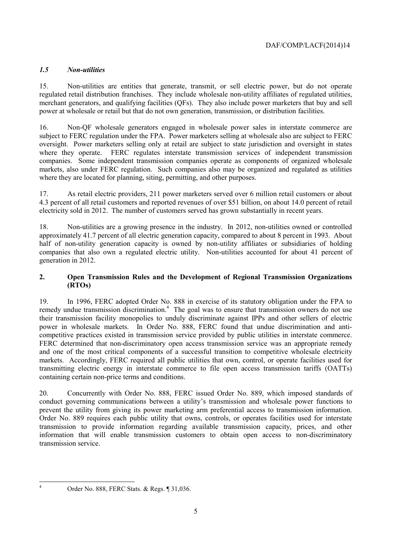#### *1.5 Non-utilities*

15. Non-utilities are entities that generate, transmit, or sell electric power, but do not operate regulated retail distribution franchises. They include wholesale non-utility affiliates of regulated utilities, merchant generators, and qualifying facilities (QFs). They also include power marketers that buy and sell power at wholesale or retail but that do not own generation, transmission, or distribution facilities.

16. Non-QF wholesale generators engaged in wholesale power sales in interstate commerce are subject to FERC regulation under the FPA. Power marketers selling at wholesale also are subject to FERC oversight. Power marketers selling only at retail are subject to state jurisdiction and oversight in states where they operate. FERC regulates interstate transmission services of independent transmission companies. Some independent transmission companies operate as components of organized wholesale markets, also under FERC regulation. Such companies also may be organized and regulated as utilities where they are located for planning, siting, permitting, and other purposes.

17. As retail electric providers, 211 power marketers served over 6 million retail customers or about 4.3 percent of all retail customers and reported revenues of over \$51 billion, on about 14.0 percent of retail electricity sold in 2012. The number of customers served has grown substantially in recent years.

18. Non-utilities are a growing presence in the industry. In 2012, non-utilities owned or controlled approximately 41.7 percent of all electric generation capacity, compared to about 8 percent in 1993. About half of non-utility generation capacity is owned by non-utility affiliates or subsidiaries of holding companies that also own a regulated electric utility. Non-utilities accounted for about 41 percent of generation in 2012.

#### **2. Open Transmission Rules and the Development of Regional Transmission Organizations (RTOs)**

19. In 1996, FERC adopted Order No. 888 in exercise of its statutory obligation under the FPA to remedy undue transmission discrimination.<sup>4</sup> The goal was to ensure that transmission owners do not use their transmission facility monopolies to unduly discriminate against IPPs and other sellers of electric power in wholesale markets. In Order No. 888, FERC found that undue discrimination and anticompetitive practices existed in transmission service provided by public utilities in interstate commerce. FERC determined that non-discriminatory open access transmission service was an appropriate remedy and one of the most critical components of a successful transition to competitive wholesale electricity markets. Accordingly, FERC required all public utilities that own, control, or operate facilities used for transmitting electric energy in interstate commerce to file open access transmission tariffs (OATTs) containing certain non-price terms and conditions.

prevent the utility from giving its power marketing arm preferential access to transmission information. 20. Concurrently with Order No. 888, FERC issued Order No. 889, which imposed standards of conduct governing communications between a utility's transmission and wholesale power functions to Order No. 889 requires each public utility that owns, controls, or operates facilities used for interstate transmission to provide information regarding available transmission capacity, prices, and other information that will enable transmission customers to obtain open access to non-discriminatory transmission service.

l 4

Order No. 888, FERC Stats. & Regs. ¶ 31,036.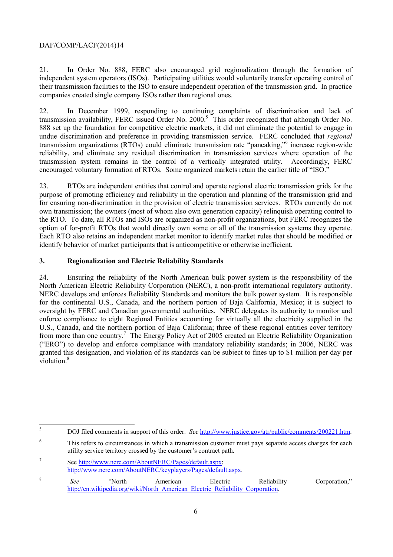#### DAF/COMP/LACF(2014)14

21. In Order No. 888, FERC also encouraged grid regionalization through the formation of independent system operators (ISOs). Participating utilities would voluntarily transfer operating control of their transmission facilities to the ISO to ensure independent operation of the transmission grid. In practice companies created single company ISOs rather than regional ones.

22. In December 1999, responding to continuing complaints of discrimination and lack of transmission availability, FERC issued Order No. 2000.<sup>5</sup> This order recognized that although Order No. 888 set up the foundation for competitive electric markets, it did not eliminate the potential to engage in undue discrimination and preference in providing transmission service. FERC concluded that *regional*  transmission organizations (RTOs) could eliminate transmission rate "pancaking,"<sup>6</sup> increase region-wide reliability, and eliminate any residual discrimination in transmission services where operation of the transmission system remains in the control of a vertically integrated utility. Accordingly, FERC encouraged voluntary formation of RTOs. Some organized markets retain the earlier title of "ISO."

 the RTO. To date, all RTOs and ISOs are organized as non-profit organizations, but FERC recognizes the option of for-profit RTOs that would directly own some or all of the transmission systems they operate. 23. RTOs are independent entities that control and operate regional electric transmission grids for the purpose of promoting efficiency and reliability in the operation and planning of the transmission grid and for ensuring non-discrimination in the provision of electric transmission services. RTOs currently do not own transmission; the owners (most of whom also own generation capacity) relinquish operating control to Each RTO also retains an independent market monitor to identify market rules that should be modified or identify behavior of market participants that is anticompetitive or otherwise inefficient.

#### **3. Regionalization and Electric Reliability Standards**

North American Electric Reliability Corporation (NERC), a non-profit international regulatory authority. violation.<sup>8</sup> 24. Ensuring the reliability of the North American bulk power system is the responsibility of the NERC develops and enforces Reliability Standards and monitors the bulk power system. It is responsible for the continental U.S., Canada, and the northern portion of Baja California, Mexico; it is subject to oversight by FERC and Canadian governmental authorities. NERC delegates its authority to monitor and enforce compliance to eight Regional Entities accounting for virtually all the electricity supplied in the U.S., Canada, and the northern portion of Baja California; three of these regional entities cover territory from more than one country.<sup>7</sup> The Energy Policy Act of 2005 created an Electric Reliability Organization ("ERO") to develop and enforce compliance with mandatory reliability standards; in 2006, NERC was granted this designation, and violation of its standards can be subject to fines up to \$1 million per day per

 $\overline{a}$ <sup>5</sup> DOJ filed comments in support of this order. *See* http://www.justice.gov/atr/public/comments/200221.htm.

<sup>6</sup> This refers to circumstances in which a transmission customer must pays separate access charges for each utility service territory crossed by the customer's contract path.

<sup>7</sup> See http://www.nerc.com/AboutNERC/Pages/default.aspx; http://www.nerc.com/AboutNERC/keyplayers/Pages/default.aspx.

<sup>&</sup>lt;sup>8</sup> See "North American Electric Reliability Corporation," http://en.wikipedia.org/wiki/North\_American\_Electric\_Reliability\_Corporation.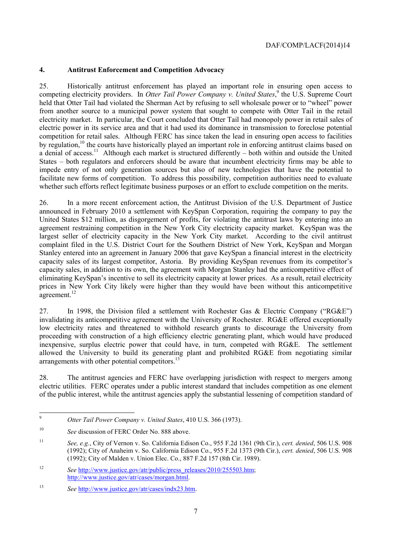#### **4. Antitrust Enforcement and Competition Advocacy**

 from another source to a municipal power system that sought to compete with Otter Tail in the retail 25. Historically antitrust enforcement has played an important role in ensuring open access to competing electricity providers. In *Otter Tail Power Company v. United States*,<sup>9</sup> the U.S. Supreme Court held that Otter Tail had violated the Sherman Act by refusing to sell wholesale power or to "wheel" power electricity market. In particular, the Court concluded that Otter Tail had monopoly power in retail sales of electric power in its service area and that it had used its dominance in transmission to foreclose potential competition for retail sales. Although FERC has since taken the lead in ensuring open access to facilities by regulation,<sup>10</sup> the courts have historically played an important role in enforcing antitrust claims based on a denial of access.<sup>11</sup> Although each market is structured differently – both within and outside the United States – both regulators and enforcers should be aware that incumbent electricity firms may be able to impede entry of not only generation sources but also of new technologies that have the potential to facilitate new forms of competition. To address this possibility, competition authorities need to evaluate whether such efforts reflect legitimate business purposes or an effort to exclude competition on the merits.

26. In a more recent enforcement action, the Antitrust Division of the U.S. Department of Justice announced in February 2010 a settlement with KeySpan Corporation, requiring the company to pay the United States \$12 million, as disgorgement of profits, for violating the antitrust laws by entering into an agreement restraining competition in the New York City electricity capacity market. KeySpan was the largest seller of electricity capacity in the New York City market. According to the civil antitrust complaint filed in the U.S. District Court for the Southern District of New York, KeySpan and Morgan Stanley entered into an agreement in January 2006 that gave KeySpan a financial interest in the electricity capacity sales of its largest competitor, Astoria. By providing KeySpan revenues from its competitor's capacity sales, in addition to its own, the agreement with Morgan Stanley had the anticompetitive effect of eliminating KeySpan's incentive to sell its electricity capacity at lower prices. As a result, retail electricity prices in New York City likely were higher than they would have been without this anticompetitive agreement.<sup>12</sup>

27. In 1998, the Division filed a settlement with Rochester Gas & Electric Company ("RG&E") invalidating its anticompetitive agreement with the University of Rochester. RG&E offered exceptionally low electricity rates and threatened to withhold research grants to discourage the University from proceeding with construction of a high efficiency electric generating plant, which would have produced inexpensive, surplus electric power that could have, in turn, competed with RG&E. The settlement allowed the University to build its generating plant and prohibited RG&E from negotiating similar arrangements with other potential competitors.<sup>13</sup>

28. The antitrust agencies and FERC have overlapping jurisdiction with respect to mergers among electric utilities. FERC operates under a public interest standard that includes competition as one element of the public interest, while the antitrust agencies apply the substantial lessening of competition standard of

Otter Tail Power Company v. United States, 410 U.S. 366 (1973).

<sup>&</sup>lt;sup>10</sup> *See* discussion of FERC Order No. 888 above.

 (1992); City of Anaheim v. So. California Edison Co., 955 F.2d 1373 (9th Cir.), *cert. denied*, 506 U.S. 908 <sup>11</sup> *See, e.g.*, City of Vernon v. So. California Edison Co., 955 F.2d 1361 (9th Cir.), *cert. denied*, 506 U.S. 908 (1992); City of Malden v. Union Elec. Co., 887 F.2d 157 (8th Cir. 1989).

<sup>&</sup>lt;sup>12</sup> *See http://www.justice.gov/atr/public/press\_releases/2010/255503.htm;* http://www.justice.gov/atr/cases/morgan.html.

<sup>13</sup> *See* http://www.justice.gov/atr/cases/indx23.htm.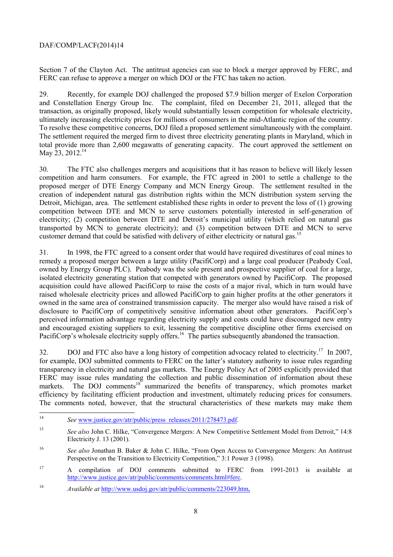#### DAF/COMP/LACF(2014)14

Section 7 of the Clayton Act. The antitrust agencies can sue to block a merger approved by FERC, and FERC can refuse to approve a merger on which DOJ or the FTC has taken no action.

 ultimately increasing electricity prices for millions of consumers in the mid-Atlantic region of the country. To resolve these competitive concerns, DOJ filed a proposed settlement simultaneously with the complaint. 29. Recently, for example DOJ challenged the proposed \$7.9 billion merger of Exelon Corporation and Constellation Energy Group Inc. The complaint, filed on December 21, 2011, alleged that the transaction, as originally proposed, likely would substantially lessen competition for wholesale electricity, The settlement required the merged firm to divest three electricity generating plants in Maryland, which in total provide more than 2,600 megawatts of generating capacity. The court approved the settlement on May 23, 2012.<sup>14</sup>

 Detroit, Michigan, area. The settlement established these rights in order to prevent the loss of (1) growing 30. The FTC also challenges mergers and acquisitions that it has reason to believe will likely lessen competition and harm consumers. For example, the FTC agreed in 2001 to settle a challenge to the proposed merger of DTE Energy Company and MCN Energy Group. The settlement resulted in the creation of independent natural gas distribution rights within the MCN distribution system serving the competition between DTE and MCN to serve customers potentially interested in self-generation of electricity; (2) competition between DTE and Detroit's municipal utility (which relied on natural gas transported by MCN to generate electricity); and (3) competition between DTE and MCN to serve customer demand that could be satisfied with delivery of either electricity or natural gas.<sup>15</sup>

 owned in the same area of constrained transmission capacity. The merger also would have raised a risk of 31. In 1998, the FTC agreed to a consent order that would have required divestitures of coal mines to remedy a proposed merger between a large utility (PacifiCorp) and a large coal producer (Peabody Coal, owned by Energy Group PLC). Peabody was the sole present and prospective supplier of coal for a large, isolated electricity generating station that competed with generators owned by PacifiCorp. The proposed acquisition could have allowed PacifiCorp to raise the costs of a major rival, which in turn would have raised wholesale electricity prices and allowed PacifiCorp to gain higher profits at the other generators it disclosure to PacifiCorp of competitively sensitive information about other generators. PacifiCorp's perceived information advantage regarding electricity supply and costs could have discouraged new entry and encouraged existing suppliers to exit, lessening the competitive discipline other firms exercised on PacifiCorp's wholesale electricity supply offers.<sup>16</sup> The parties subsequently abandoned the transaction.

 efficiency by facilitating efficient production and investment, ultimately reducing prices for consumers. The comments noted, however, that the structural characteristics of these markets may make them The comments noted, however, that the structural characteristics of these markets may make them 32. DOJ and FTC also have a long history of competition advocacy related to electricity.<sup>17</sup> In 2007, for example, DOJ submitted comments to FERC on the latter's statutory authority to issue rules regarding transparency in electricity and natural gas markets. The Energy Policy Act of 2005 explicitly provided that FERC may issue rules mandating the collection and public dissemination of information about these markets. The DOJ comments<sup>18</sup> summarized the benefits of transparency, which promotes market

 $14$ See www.justice.gov/atr/public/press\_releases/2011/278473.pdf.

<sup>&</sup>lt;sup>15</sup> *See also* John C. Hilke, "Convergence Mergers: A New Competitive Settlement Model from Detroit," 14:8 Electricity J. 13 (2001).

<sup>&</sup>lt;sup>16</sup> *See also Jonathan B. Baker & John C. Hilke, "From Open Access to Convergence Mergers: An Antitrust* Perspective on the Transition to Electricity Competition," 3:1 Power 3 (1998).

 $17$ <sup>17</sup> A compilation of DOJ comments submitted to FERC from 1991-2013 is available at http://www.justice.gov/atr/public/comments/comments.html#ferc.

<sup>&</sup>lt;sup>18</sup> *Available at http://www.usdoj.gov/atr/public/comments/223049.htm.*